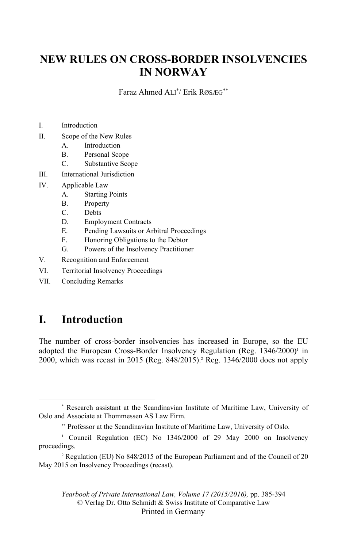# **NEW RULES ON CROSS-BORDER INSOLVENCIES IN NORWAY**

Faraz Ahmed ALI\* / Erik RØSÆG\*\*

- I. Introduction
- II. Scope of the New Rules
	- A. Introduction
	- B. Personal Scope
	- C. Substantive Scope
- III. International Jurisdiction
- IV. Applicable Law
	- A. Starting Points
	- B. Property
	- C. Debts
	- D. Employment Contracts
	- E. Pending Lawsuits or Arbitral Proceedings
	- F. Honoring Obligations to the Debtor
	- G. Powers of the Insolvency Practitioner
- V. Recognition and Enforcement
- VI. Territorial Insolvency Proceedings
- VII. Concluding Remarks

# **I. Introduction**

The number of cross-border insolvencies has increased in Europe, so the EU adopted the European Cross-Border Insolvency Regulation (Reg. 1346/2000)<sup>1</sup> in 2000, which was recast in 2015 (Reg. 848/2015).2 Reg. 1346/2000 does not apply

 <sup>\*</sup> Research assistant at the Scandinavian Institute of Maritime Law, University of Oslo and Associate at Thommessen AS Law Firm.

<sup>\*\*</sup> Professor at the Scandinavian Institute of Maritime Law, University of Oslo.

<sup>&</sup>lt;sup>1</sup> Council Regulation (EC) No 1346/2000 of 29 May 2000 on Insolvency proceedings.

<sup>2</sup> Regulation (EU) No 848/2015 of the European Parliament and of the Council of 20 May 2015 on Insolvency Proceedings (recast).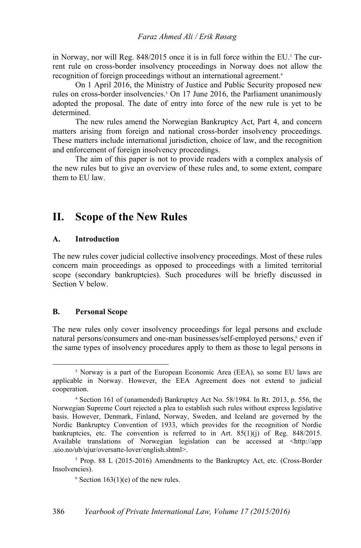in Norway, nor will Reg. 848/2015 once it is in full force within the EU.<sup>3</sup> The current rule on cross-border insolvency proceedings in Norway does not allow the recognition of foreign proceedings without an international agreement.4

On 1 April 2016, the Ministry of Justice and Public Security proposed new rules on cross-border insolvencies.<sup>5</sup> On 17 June 2016, the Parliament unanimously adopted the proposal. The date of entry into force of the new rule is yet to be determined.

The new rules amend the Norwegian Bankruptcy Act, Part 4, and concern matters arising from foreign and national cross-border insolvency proceedings. These matters include international jurisdiction, choice of law, and the recognition and enforcement of foreign insolvency proceedings.

The aim of this paper is not to provide readers with a complex analysis of the new rules but to give an overview of these rules and, to some extent, compare them to EU law.

# **II. Scope of the New Rules**

#### **A. Introduction**

The new rules cover judicial collective insolvency proceedings. Most of these rules concern main proceedings as opposed to proceedings with a limited territorial scope (secondary bankruptcies). Such procedures will be briefly discussed in Section V below.

## **B. Personal Scope**

The new rules only cover insolvency proceedings for legal persons and exclude natural persons/consumers and one-man businesses/self-employed persons,<sup>6</sup> even if the same types of insolvency procedures apply to them as those to legal persons in

 $\frac{1}{3}$ <sup>3</sup> Norway is a part of the European Economic Area (EEA), so some EU laws are applicable in Norway. However, the EEA Agreement does not extend to judicial cooperation.

<sup>4</sup> Section 161 of (unamended) Bankruptcy Act No. 58/1984. In Rt. 2013, p. 556, the Norwegian Supreme Court rejected a plea to establish such rules without express legislative basis. However, Denmark, Finland, Norway, Sweden, and Iceland are governed by the Nordic Bankruptcy Convention of 1933, which provides for the recognition of Nordic bankruptcies, etc. The convention is referred to in Art.  $85(1)(i)$  of Reg.  $848/2015$ . Available translations of Norwegian legislation can be accessed at <http://app .uio.no/ub/ujur/oversatte-lover/english.shtml>.

<sup>&</sup>lt;sup>5</sup> Prop. 88 L (2015-2016) Amendments to the Bankruptcy Act, etc. (Cross-Border Insolvencies).

 $6$  Section 163(1)(e) of the new rules.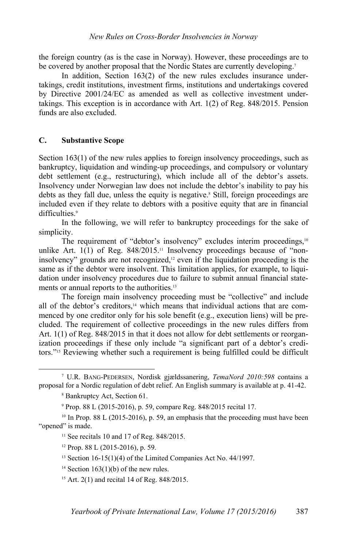the foreign country (as is the case in Norway). However, these proceedings are to be covered by another proposal that the Nordic States are currently developing.<sup>7</sup>

In addition, Section 163(2) of the new rules excludes insurance undertakings, credit institutions, investment firms, institutions and undertakings covered by Directive 2001/24/EC as amended as well as collective investment undertakings. This exception is in accordance with Art. 1(2) of Reg. 848/2015. Pension funds are also excluded.

## **C. Substantive Scope**

Section 163(1) of the new rules applies to foreign insolvency proceedings, such as bankruptcy, liquidation and winding-up proceedings, and compulsory or voluntary debt settlement (e.g., restructuring), which include all of the debtor's assets. Insolvency under Norwegian law does not include the debtor's inability to pay his debts as they fall due, unless the equity is negative.<sup>8</sup> Still, foreign proceedings are included even if they relate to debtors with a positive equity that are in financial difficulties.<sup>9</sup>

 In the following, we will refer to bankruptcy proceedings for the sake of simplicity.

The requirement of "debtor's insolvency" excludes interim proceedings,<sup>10</sup> unlike Art.  $1(1)$  of Reg.  $848/2015$ .<sup>11</sup> Insolvency proceedings because of "noninsolvency" grounds are not recognized,<sup>12</sup> even if the liquidation proceeding is the same as if the debtor were insolvent. This limitation applies, for example, to liquidation under insolvency procedures due to failure to submit annual financial statements or annual reports to the authorities.<sup>13</sup>

The foreign main insolvency proceeding must be "collective" and include all of the debtor's creditors,<sup>14</sup> which means that individual actions that are commenced by one creditor only for his sole benefit (e.g., execution liens) will be precluded. The requirement of collective proceedings in the new rules differs from Art. 1(1) of Reg. 848/2015 in that it does not allow for debt settlements or reorganization proceedings if these only include "a significant part of a debtor's creditors."15 Reviewing whether such a requirement is being fulfilled could be difficult

 $\overline{\phantom{a}}$  U.R. BANG-PEDERSEN, Nordisk gjældssanering, *TemaNord 2010:598* contains a proposal for a Nordic regulation of debt relief. An English summary is available at p. 41-42.

<sup>8</sup> Bankruptcy Act, Section 61.

<sup>9</sup> Prop. 88 L (2015-2016), p. 59, compare Reg. 848/2015 recital 17.

 $10$  In Prop. 88 L (2015-2016), p. 59, an emphasis that the proceeding must have been "opened" is made.

<sup>&</sup>lt;sup>11</sup> See recitals 10 and 17 of Reg. 848/2015.

 $12$  Prop. 88 L (2015-2016), p. 59.

<sup>&</sup>lt;sup>13</sup> Section 16-15(1)(4) of the Limited Companies Act No.  $44/1997$ .

<sup>&</sup>lt;sup>14</sup> Section 163(1)(b) of the new rules.

<sup>15</sup> Art. 2(1) and recital 14 of Reg. 848/2015.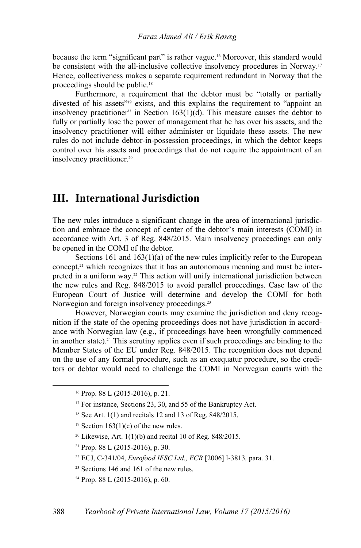because the term "significant part" is rather vague.16 Moreover, this standard would be consistent with the all-inclusive collective insolvency procedures in Norway.<sup>17</sup> Hence, collectiveness makes a separate requirement redundant in Norway that the proceedings should be public.18

Furthermore, a requirement that the debtor must be "totally or partially divested of his assets"<sup>19</sup> exists, and this explains the requirement to "appoint an insolvency practitioner" in Section  $163(1)(d)$ . This measure causes the debtor to fully or partially lose the power of management that he has over his assets, and the insolvency practitioner will either administer or liquidate these assets. The new rules do not include debtor-in-possession proceedings, in which the debtor keeps control over his assets and proceedings that do not require the appointment of an insolvency practitioner.20

## **III. International Jurisdiction**

The new rules introduce a significant change in the area of international jurisdiction and embrace the concept of center of the debtor's main interests (COMI) in accordance with Art. 3 of Reg. 848/2015. Main insolvency proceedings can only be opened in the COMI of the debtor.

Sections 161 and 163(1)(a) of the new rules implicitly refer to the European concept,21 which recognizes that it has an autonomous meaning and must be interpreted in a uniform way.22 This action will unify international jurisdiction between the new rules and Reg. 848/2015 to avoid parallel proceedings. Case law of the European Court of Justice will determine and develop the COMI for both Norwegian and foreign insolvency proceedings.<sup>23</sup>

However, Norwegian courts may examine the jurisdiction and deny recognition if the state of the opening proceedings does not have jurisdiction in accordance with Norwegian law (e.g., if proceedings have been wrongfully commenced in another state).24 This scrutiny applies even if such proceedings are binding to the Member States of the EU under Reg. 848/2015. The recognition does not depend on the use of any formal procedure, such as an exequatur procedure, so the creditors or debtor would need to challenge the COMI in Norwegian courts with the

- <sup>20</sup> Likewise, Art.  $1(1)(b)$  and recital 10 of Reg. 848/2015.
- 21 Prop. 88 L (2015-2016), p. 30.
- 22 ECJ, C-341/04, *Eurofood IFSC Ltd., ECR* [2006] I-3813*,* para. 31.
- <sup>23</sup> Sections 146 and 161 of the new rules.
- 24 Prop. 88 L (2015-2016), p. 60.

 <sup>16</sup> Prop. 88 L (2015-2016), p. 21.

<sup>&</sup>lt;sup>17</sup> For instance, Sections 23, 30, and 55 of the Bankruptcy Act.

<sup>18</sup> See Art. 1(1) and recitals 12 and 13 of Reg. 848/2015.

<sup>&</sup>lt;sup>19</sup> Section 163(1)(c) of the new rules.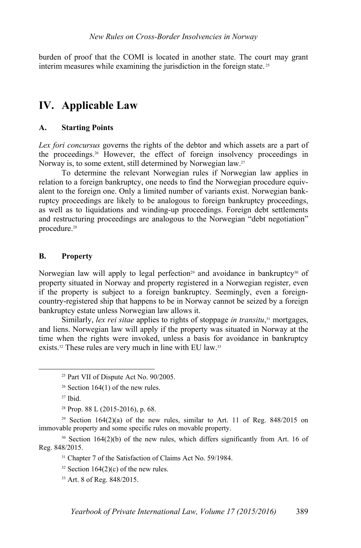burden of proof that the COMI is located in another state. The court may grant interim measures while examining the jurisdiction in the foreign state. 25

# **IV. Applicable Law**

## **A. Starting Points**

*Lex fori concursus* governs the rights of the debtor and which assets are a part of the proceedings.26 However, the effect of foreign insolvency proceedings in Norway is, to some extent, still determined by Norwegian law.27

To determine the relevant Norwegian rules if Norwegian law applies in relation to a foreign bankruptcy, one needs to find the Norwegian procedure equivalent to the foreign one. Only a limited number of variants exist. Norwegian bankruptcy proceedings are likely to be analogous to foreign bankruptcy proceedings, as well as to liquidations and winding-up proceedings. Foreign debt settlements and restructuring proceedings are analogous to the Norwegian "debt negotiation" procedure.<sup>28</sup>

## **B. Property**

Norwegian law will apply to legal perfection<sup>29</sup> and avoidance in bankruptcy<sup>30</sup> of property situated in Norway and property registered in a Norwegian register, even if the property is subject to a foreign bankruptcy. Seemingly, even a foreigncountry-registered ship that happens to be in Norway cannot be seized by a foreign bankruptcy estate unless Norwegian law allows it.

Similarly, *lex rei sitae* applies to rights of stoppage *in transitu*, 31 mortgages, and liens. Norwegian law will apply if the property was situated in Norway at the time when the rights were invoked, unless a basis for avoidance in bankruptcy exists.<sup>32</sup> These rules are very much in line with EU law.<sup>33</sup>

 <sup>25</sup> Part VII of Dispute Act No. 90/2005.

 $26$  Section 164(1) of the new rules.

 $27$  Ibid.

 $28$  Prop. 88 L (2015-2016), p. 68.

<sup>&</sup>lt;sup>29</sup> Section 164(2)(a) of the new rules, similar to Art. 11 of Reg.  $848/2015$  on immovable property and some specific rules on movable property.

 $30$  Section 164(2)(b) of the new rules, which differs significantly from Art. 16 of Reg. 848/2015.

<sup>&</sup>lt;sup>31</sup> Chapter 7 of the Satisfaction of Claims Act No. 59/1984.

 $32$  Section 164(2)(c) of the new rules.

<sup>33</sup> Art. 8 of Reg. 848/2015.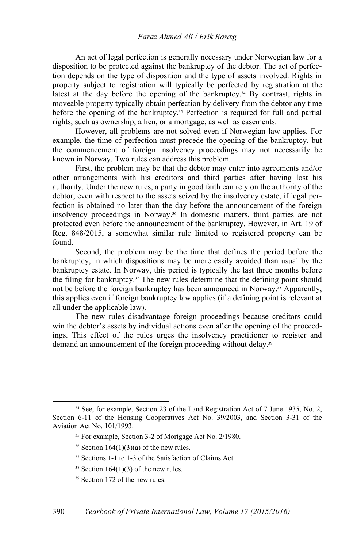#### *Faraz Ahmed Ali / Erik Røsæg*

An act of legal perfection is generally necessary under Norwegian law for a disposition to be protected against the bankruptcy of the debtor. The act of perfection depends on the type of disposition and the type of assets involved. Rights in property subject to registration will typically be perfected by registration at the latest at the day before the opening of the bankruptcy. $34$  By contrast, rights in moveable property typically obtain perfection by delivery from the debtor any time before the opening of the bankruptcy.35 Perfection is required for full and partial rights, such as ownership, a lien, or a mortgage, as well as easements.

However, all problems are not solved even if Norwegian law applies. For example, the time of perfection must precede the opening of the bankruptcy, but the commencement of foreign insolvency proceedings may not necessarily be known in Norway. Two rules can address this problem.

First, the problem may be that the debtor may enter into agreements and/or other arrangements with his creditors and third parties after having lost his authority. Under the new rules, a party in good faith can rely on the authority of the debtor, even with respect to the assets seized by the insolvency estate, if legal perfection is obtained no later than the day before the announcement of the foreign insolvency proceedings in Norway.36 In domestic matters, third parties are not protected even before the announcement of the bankruptcy. However, in Art. 19 of Reg. 848/2015, a somewhat similar rule limited to registered property can be found.

Second, the problem may be the time that defines the period before the bankruptcy, in which dispositions may be more easily avoided than usual by the bankruptcy estate. In Norway, this period is typically the last three months before the filing for bankruptcy.37 The new rules determine that the defining point should not be before the foreign bankruptcy has been announced in Norway.38 Apparently, this applies even if foreign bankruptcy law applies (if a defining point is relevant at all under the applicable law).

The new rules disadvantage foreign proceedings because creditors could win the debtor's assets by individual actions even after the opening of the proceedings. This effect of the rules urges the insolvency practitioner to register and demand an announcement of the foreign proceeding without delay.<sup>39</sup>

<sup>&</sup>lt;sup>34</sup> See, for example, Section 23 of the Land Registration Act of 7 June 1935, No. 2, Section 6-11 of the Housing Cooperatives Act No. 39/2003, and Section 3-31 of the Aviation Act No. 101/1993.

<sup>35</sup> For example, Section 3-2 of Mortgage Act No. 2/1980.

<sup>&</sup>lt;sup>36</sup> Section  $164(1)(3)(a)$  of the new rules.

<sup>37</sup> Sections 1-1 to 1-3 of the Satisfaction of Claims Act.

 $38$  Section 164(1)(3) of the new rules.

<sup>39</sup> Section 172 of the new rules.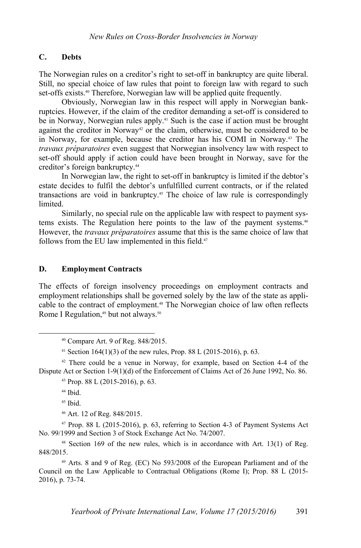## **C. Debts**

The Norwegian rules on a creditor's right to set-off in bankruptcy are quite liberal. Still, no special choice of law rules that point to foreign law with regard to such set-offs exists.40 Therefore, Norwegian law will be applied quite frequently.

Obviously, Norwegian law in this respect will apply in Norwegian bankruptcies. However, if the claim of the creditor demanding a set-off is considered to be in Norway, Norwegian rules apply.<sup>41</sup> Such is the case if action must be brought against the creditor in Norway<sup>42</sup> or the claim, otherwise, must be considered to be in Norway, for example, because the creditor has his COMI in Norway.43 The *travaux préparatoires* even suggest that Norwegian insolvency law with respect to set-off should apply if action could have been brought in Norway, save for the creditor's foreign bankruptcy.44

In Norwegian law, the right to set-off in bankruptcy is limited if the debtor's estate decides to fulfil the debtor's unfulfilled current contracts, or if the related transactions are void in bankruptcy.45 The choice of law rule is correspondingly **limited** 

Similarly, no special rule on the applicable law with respect to payment systems exists. The Regulation here points to the law of the payment systems.<sup>46</sup> However, the *travaux préparatoires* assume that this is the same choice of law that follows from the EU law implemented in this field.<sup>47</sup>

## **D. Employment Contracts**

The effects of foreign insolvency proceedings on employment contracts and employment relationships shall be governed solely by the law of the state as applicable to the contract of employment.48 The Norwegian choice of law often reflects Rome I Regulation,<sup>49</sup> but not always.<sup>50</sup>

 $42$  There could be a venue in Norway, for example, based on Section 4-4 of the Dispute Act or Section 1-9(1)(d) of the Enforcement of Claims Act of 26 June 1992, No. 86.

44 Ibid.

 $45$  Ibid.

46 Art. 12 of Reg. 848/2015.

 $47$  Prop. 88 L (2015-2016), p. 63, referring to Section 4-3 of Payment Systems Act No. 99/1999 and Section 3 of Stock Exchange Act No. 74/2007.

 $48$  Section 169 of the new rules, which is in accordance with Art. 13(1) of Reg. 848/2015.

49 Arts. 8 and 9 of Reg. (EC) No 593/2008 of the European Parliament and of the Council on the Law Applicable to Contractual Obligations (Rome I); Prop. 88 L (2015- 2016), p. 73-74.

 <sup>40</sup> Compare Art. 9 of Reg. 848/2015.

<sup>&</sup>lt;sup>41</sup> Section 164(1)(3) of the new rules, Prop. 88 L (2015-2016), p. 63.

<sup>43</sup> Prop. 88 L (2015-2016), p. 63.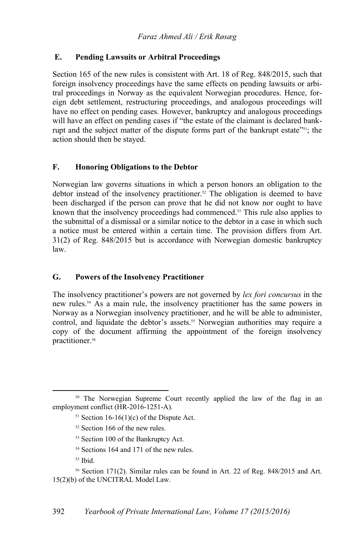## **E. Pending Lawsuits or Arbitral Proceedings**

Section 165 of the new rules is consistent with Art. 18 of Reg. 848/2015, such that foreign insolvency proceedings have the same effects on pending lawsuits or arbitral proceedings in Norway as the equivalent Norwegian procedures. Hence, foreign debt settlement, restructuring proceedings, and analogous proceedings will have no effect on pending cases. However, bankruptcy and analogous proceedings will have an effect on pending cases if "the estate of the claimant is declared bankrupt and the subject matter of the dispute forms part of the bankrupt estate"<sup>51</sup>; the action should then be stayed.

## **F. Honoring Obligations to the Debtor**

Norwegian law governs situations in which a person honors an obligation to the debtor instead of the insolvency practitioner.<sup>52</sup> The obligation is deemed to have been discharged if the person can prove that he did not know nor ought to have known that the insolvency proceedings had commenced.53 This rule also applies to the submittal of a dismissal or a similar notice to the debtor in a case in which such a notice must be entered within a certain time. The provision differs from Art. 31(2) of Reg. 848/2015 but is accordance with Norwegian domestic bankruptcy law.

## **G. Powers of the Insolvency Practitioner**

The insolvency practitioner's powers are not governed by *lex fori concursus* in the new rules.54 As a main rule, the insolvency practitioner has the same powers in Norway as a Norwegian insolvency practitioner, and he will be able to administer, control, and liquidate the debtor's assets.<sup>55</sup> Norwegian authorities may require a copy of the document affirming the appointment of the foreign insolvency practitioner.<sup>56</sup>

- 53 Section 100 of the Bankruptcy Act.
- 54 Sections 164 and 171 of the new rules.
- $55$  Ibid.

<sup>&</sup>lt;sup>50</sup> The Norwegian Supreme Court recently applied the law of the flag in an employment conflict (HR-2016-1251-A).

<sup>&</sup>lt;sup>51</sup> Section 16-16(1)(c) of the Dispute Act.

<sup>52</sup> Section 166 of the new rules.

<sup>56</sup> Section 171(2). Similar rules can be found in Art. 22 of Reg. 848/2015 and Art. 15(2)(b) of the UNCITRAL Model Law.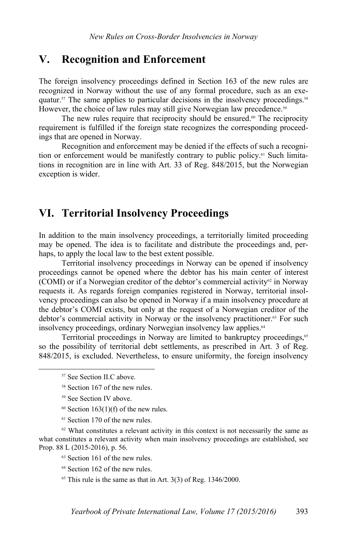## **V. Recognition and Enforcement**

The foreign insolvency proceedings defined in Section 163 of the new rules are recognized in Norway without the use of any formal procedure, such as an exequatur.57 The same applies to particular decisions in the insolvency proceedings.58 However, the choice of law rules may still give Norwegian law precedence.<sup>59</sup>

The new rules require that reciprocity should be ensured.<sup>60</sup> The reciprocity requirement is fulfilled if the foreign state recognizes the corresponding proceedings that are opened in Norway.

Recognition and enforcement may be denied if the effects of such a recognition or enforcement would be manifestly contrary to public policy.<sup>61</sup> Such limitations in recognition are in line with Art. 33 of Reg. 848/2015, but the Norwegian exception is wider.

# **VI. Territorial Insolvency Proceedings**

In addition to the main insolvency proceedings, a territorially limited proceeding may be opened. The idea is to facilitate and distribute the proceedings and, perhaps, to apply the local law to the best extent possible.

Territorial insolvency proceedings in Norway can be opened if insolvency proceedings cannot be opened where the debtor has his main center of interest (COMI) or if a Norwegian creditor of the debtor's commercial activity<sup>62</sup> in Norway requests it. As regards foreign companies registered in Norway, territorial insolvency proceedings can also be opened in Norway if a main insolvency procedure at the debtor's COMI exists, but only at the request of a Norwegian creditor of the debtor's commercial activity in Norway or the insolvency practitioner.<sup>63</sup> For such insolvency proceedings, ordinary Norwegian insolvency law applies.<sup>64</sup>

Territorial proceedings in Norway are limited to bankruptcy proceedings,<sup>65</sup> so the possibility of territorial debt settlements, as prescribed in Art. 3 of Reg. 848/2015, is excluded. Nevertheless, to ensure uniformity, the foreign insolvency

- 59 See Section IV above.
- $60$  Section 163(1)(f) of the new rules.
- 61 Section 170 of the new rules.

<sup>62</sup> What constitutes a relevant activity in this context is not necessarily the same as what constitutes a relevant activity when main insolvency proceedings are established, see Prop. 88 L (2015-2016), p. 56.

- 63 Section 161 of the new rules.
- 64 Section 162 of the new rules.
- $65$  This rule is the same as that in Art. 3(3) of Reg. 1346/2000.

 <sup>57</sup> See Section II.C above.

<sup>58</sup> Section 167 of the new rules.